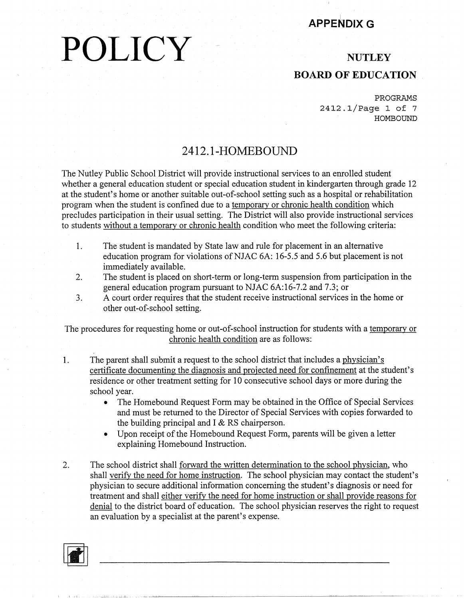#### I **APPENDIX G**

## **POLICY**

#### **NUTLEY BOARD OF EDUCATION**

PROGRAMS 2412.1/Page 1 of 7 HOMBOUND

#### **2412.1-HOMEBOUND**

The Nutley Public School District will provide instructional services to an enrolled student whether a general education student or special education student in kindergarten through grade 12 at the student's home or another suitable out-of-school setting such as a hospital or rehabilitation program when the student is confined due to a temporary or chronic health condition which precludes participation in their usual setting. The District will also provide instructional services to students without a temporary or chronic health condition who meet the following criteria:

- 1. The student is mandated by State law and rule for placement in an alternative education program for violations ofNJAC 6A: 16-5.5 and 5.6 but placement is not immediately available.
- 2. The student is placed on short-term or long-term suspension from participation in the general education program pursuant to NJAC 6A:16-7.2 and 7.3; or
- 3. A court order requires that the student receive instructional services in the home or other out-of-school setting.

The procedures for requesting home or out-of-school instruction for students with a temporary or chronic health condition are as follows:

- 1. The parent shall submit a request to the school district that includes a physician's certificate documenting the diagnosis and projected need for confinement at the student's residence or other treatment setting for 10 consecutive school days or more during the school year.
	- The Homebound Request Form may be obtained in the Office of Special Services and must be returned to the Director of Special Services with copies forwarded to the building principal and  $I \& RS$  chairperson.
	- Upon receipt of the Homebound Request Form, parents will be given a letter explaining Homebound Instruction.
- 2. The school district shall forward the written determination to the school physician, who shall verify the need for home instruction. The school physician may contact the student's physician to secure additional information concerning the student's diagnosis or need for treatment and shall either verify the need for home instruction or shall provide reasons for denial to the district board of education. The school physician reserves the right to request an evaluation by a specialist at the parent's expense.

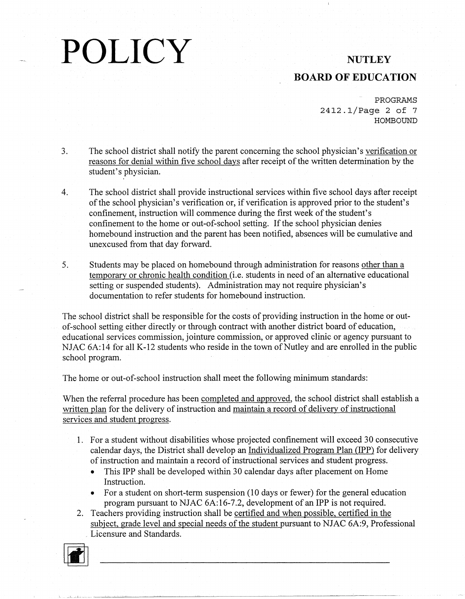## **BOARD OF EDUCATION**

PROGRAMS 2412.1/Page 2 of 7 HOMBOUND

- 3. The school district shall notify the parent concerning the school physician's verification or reasons for denial within five school days after receipt of the written determination by the student's physician.
- 4. The school district shall provide instructional services within five school days after receipt of the school physician's verification or, if verification is approved prior to the student's confinement, instruction will commence during the first week of the student's confinement to the home or out-of-school setting. If the school physician denies homebound instruction and the parent has been notified, absences will be cumulative and unexcused from that day forward.
- 5. Students may be placed on homebound through administration for reasons other than a temporary or chronic health condition (i.e. students in need of an alternative educational setting or suspended students). Administration may not require physician's documentation to refer students for homebound instruction.

The school district shall be responsible for the costs of providing instruction in the home or outof-school setting either directly or through contract with another district board of education, educational services commission, jointure commission, or approved clinic or agency pursuant to NJAC 6A:14 for all K-12 students who reside in the town of Nutley and are enrolled in the public school program.

The home or out-of-school instruction shall meet the following minimum standards:

When the referral procedure has been completed and approved, the school district shall establish a written plan for the delivery of instruction and maintain a record of delivery of instructional services and student progress.

- 1. For a student without disabilities whose projected confinement will exceed 30 consecutive calendar days, the District shall develop an Individualized Program Plan (IPP) for delivery of instruction and maintain a record of instructional services and student progress.
	- This IPP shall be developed within 30 calendar days after placement on Home Instruction.
	- For a student on short-term suspension (10 days or fewer) for the general education program pursuant to NJAC 6A:16-7.2, development of an IPP is not required.
- 2. Teachers providing instruction shall be certified and when possible, certified in the subject, grade level and special needs of the student pursuant to NJAC 6A:9, Professional Licensure and Standards.

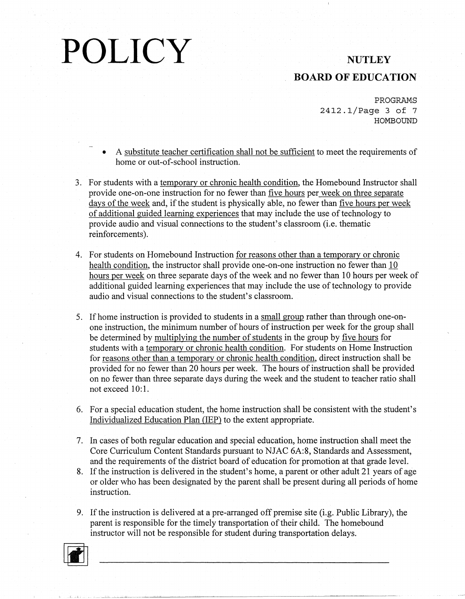## **BOARD OF EDUCATION**

PROGRAMS 2412.1/Page 3 of 7 HOMBOUND

- A substitute teacher certification shall not be sufficient to meet the requirements of home or out-of-school instruction.
- 3. For students with a temporary or chronic health condition. the Homebound Instructor shall provide one-on-one instruction for no fewer than five hours per week on three separate days of the week and, if the student is physically able, no fewer than five hours per week of additional guided learning experiences that may include the use of technology to provide audio and visual connections to the student's classroom (i.e. thematic reinforcements).
- 4. For students on Homebound Instruction for reasons other than a temporary or chronic health condition, the instructor shall provide one-on-one instruction no fewer than 10 hours per week on three separate days of the week and no fewer than 10 hours per week of additional guided learning experiences that may include the use of technology to provide audio and visual connections to the student's classroom.
- 5. If home instruction is provided to students in a small group rather than through one-onone instruction, the minimum number of hours of instruction per week for the group shall be determined by multiplying the number of students in the group by five hours for students with a temporary or chronic health condition. For students on Home Instruction for reasons other than a temporary or chronic health condition; direct instruction shall be provided for no fewer than 20 hours per week. The hours of instruction shall be provided on no fewer than three separate days during the week and the student to teacher ratio shall not exceed 10:1.
- 6. For a special education student, the home instruction shall be consistent with the student's Individualized Education Plan (IEP) to the extent appropriate.
- 7. In cases of both regular education and special education, home instruction shall meet the Core Curriculum Content Standards pursuant to NJAC 6A:8, Standards and Assessment, and the requirements of the district board of education for promotion at that grade level.
- 8. If the instruction is delivered in the student's home, a parent or other adult 21 years of age or older who has been designated by the parent shall be present during all periods of home instruction.
- 9. If the instruction is delivered at a pre-arranged off premise site (i.g. Public Library), the parent is responsible for the timely transportation of their child. The homebound instructor will not be responsible for student during transportation delays.

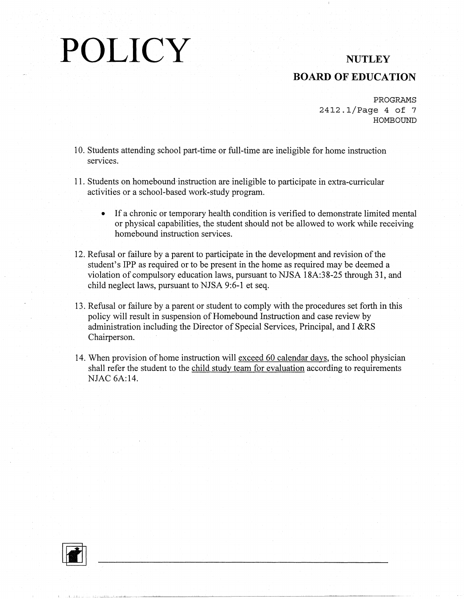### **BOARD OF EDUCATION**

PROGRAMS 2412.1/Page 4 of 7 HOMBOUND

- 10. Students attending school part-time or full-time are ineligible for home instruction services.
- 11. Students on homebound instruction are ineligible to participate in extra-curricular activities or a school-based work-study program.
	- If a chronic or temporary health condition is verified to demonstrate limited mental or physical capabilities, the student should not be allowed to work while receiving homebound instruction services.
- 12. Refusal or failure by a parent to participate in the development and revision of the student's IPP as required or to be present in the home as required may be deemed a violation of compulsory education laws, pursuant to NJSA 18A:38-25 through 31, and child neglect laws, pursuant to NJSA 9:6-1 et seq.
- 13. Refusal or failure by a parent or student to comply with the procedures set forth in this policy will result in suspension of Homebound Instruction and case review by administration including the Director of Special Services, Principal, and I &RS Chairperson.
- 14. When provision of home instruction will exceed 60 calendar days, the school physician shall refer the student to the child study team for evaluation according to requirements NJAC 6A:14.



 $~\ldots~$   $~\ldots~$   $~\ldots~$   $~\ldots~$   $~\ldots~$   $~\ldots~$   $~\ldots~$   $~\ldots~$   $~\ldots~$   $~\ldots~$   $~\ldots~$   $~\ldots~$   $~\ldots~$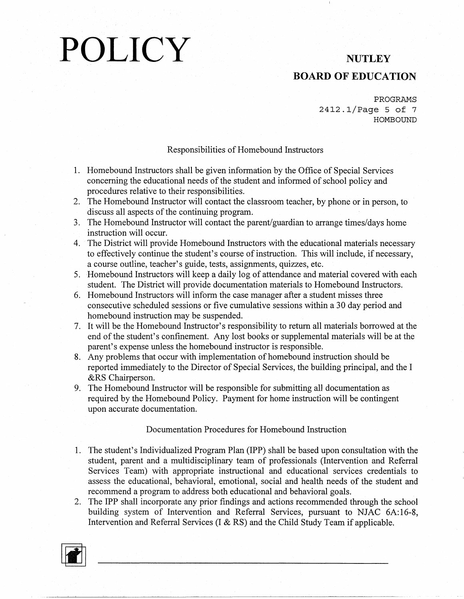## **BOARD OF EDUCATION**

PROGRAMS 2412.1/Page 5 of 7 HOMBOUND

#### Responsibilities of Homebound Instructors

- 1. Homebound Instructors shall be given information by the Office of Special Services concerning the educational needs of the student and informed of school policy and procedures relative to their responsibilities.
- 2. The Homebound Instructor will contact the classroom teacher, by phone or in person, to discuss all aspects of the continuing program.
- 3. The Homebound Instructor will contact the parent/guardian to arrange times/days home instruction will occur.
- 4. The District will provide Homebound Instructors with the educational materials necessary to effectively continue the student's course of instruction. This will include, if necessary, a course outline, teacher's guide, tests, assignments, quizzes, etc.
- 5. Homebound Instructors will keep a daily log of attendance and material covered with each student. The District will provide documentation materials to Homebound Instructors.
- 6. Homebound Instructors will inform the case manager after a student misses three consecutive scheduled sessions or five cumulative sessions within a 30 day period and homebound instruction may be suspended.
- 7. It will be the Homebound Instructor's responsibility to return all materials borrowed at the end of the student's confinement. Any lost books or supplemental materials will be at the parent's expense unless the homebound instructor is responsible.
- 8. Any problems that occur with implementation of homebound instruction should be reported immediately to the Director of Special Services, the building principal, and the I &RS Chairperson.
- 9. The Homebound Instructor will be responsible for submitting all documentation as required by the Homebound Policy. Payment for home instruction will be contingent upon accurate documentation.

#### Documentation Procedures for Homebound Instruction

- 1. The student's Individualized Program Plan (IPP) shall be based upon consultation with the student, parent and a multidisciplinary team of professionals (Intervention and Referral Services Team) with appropriate instructional and educational services credentials to assess the educational, behavioral, emotional, social and health needs of the student and recommend a program to address both educational and behavioral goals.
- 2. The IPP shall incorporate any prior findings and actions recommended through the school building system of Intervention and Referral Services, pursuant to NJAC 6A:16-8, Intervention and Referral Services (I & RS) and the Child Study Team if applicable.

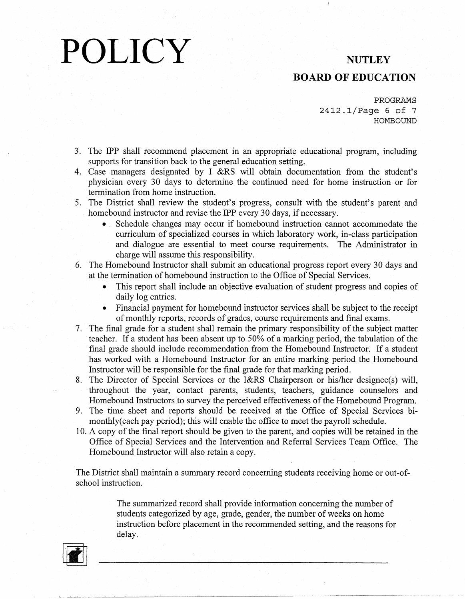#### **BOARD OF EDUCATION**

PROGRAMS 2412.1/Page 6 of 7 H0MBOUND

- 3. The IPP shall recommend placement in an appropriate educational program, including supports for transition back to the general education setting.
- 4. Case managers designated by I &RS will obtain documentation from the student's physician every 30 days to determine the continued need for home instruction or for termination from home instruction.
- 5. The District shall review the student's progress, consult with the student's parent and homebound instructor and revise the IPP every 30 days, if necessary.
	- Schedule changes may occur if homebound instruction cannot accommodate the curriculum of specialized courses in which laboratory work, in-class participation and dialogue are essential to meet course requirements. The Administrator in charge will assume this responsibility.
- 6. The Homebound Instructor shall submit an educational progress report every 30 days and at the termination of homebound instruction to the Office of Special Services.
	- This report shall include an objective evaluation of student progress and copies of daily log entries.
	- Financial payment for homebound instructor services shall be subject to the receipt of monthly reports, records of grades, course requirements and final exams.
- 7. The final grade for a student shall remain the primary responsibility of the subject matter teacher. If a student has been absent up to 50% of a marking period, the tabulation of the final grade should include recommendation from the Homebound Instructor. If a student has worked with a Homebound Instructor for an entire marking period the Homebound Instructor will be responsible for the final grade for that marking period.
- 8. The Director of Special Services or the I&RS Chairperson or his/her designee(s) will, throughout the year, contact parents, students, teachers, guidance counselors and Homebound Instructors to survey the perceived effectiveness of the Homebound Program.
- 9. The time sheet and reports should be received at the Office of Special Services bimonthly(each pay period); this will enable the office to meet the payroll schedule.
- 10. A copy of the final report should be given to the parent, and copies will be retained in the Office of Special Services and the Intervention and Referral Services Team Office. The Homebound Instructor will also retain a copy.

The District shall maintain a summary record concerning students receiving home or out-ofschool instruction.

> The summarized record shall provide information concerning the number of students categorized by age, grade, gender, the number of weeks on home instruction before placement in the recommended setting, and the reasons for delay.